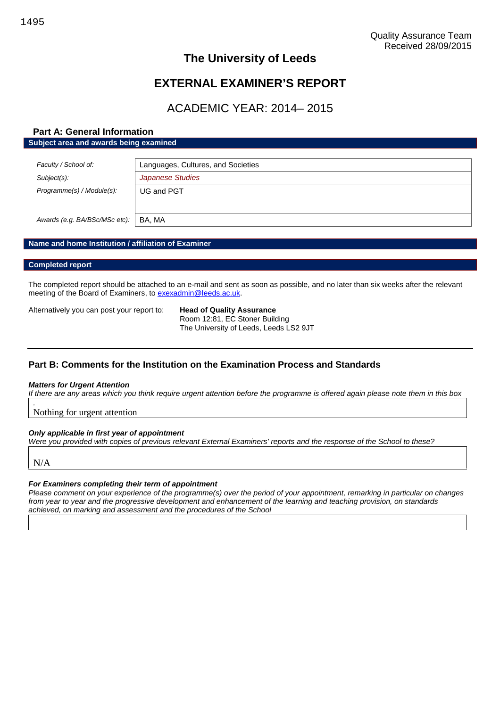# **The University of Leeds**

# **EXTERNAL EXAMINER'S REPORT**

# ACADEMIC YEAR: 2014– 2015

#### **Part A: General Information Subject area and awards being examined**

| Faculty / School of:          | Languages, Cultures, and Societies |
|-------------------------------|------------------------------------|
| Subject(s):                   | Japanese Studies                   |
| Programme(s) / Module(s):     | UG and PGT                         |
|                               |                                    |
| Awards (e.g. BA/BSc/MSc etc): | BA. MA                             |

#### **Name and home Institution / affiliation of Examiner**

#### **Completed report**

The completed report should be attached to an e-mail and sent as soon as possible, and no later than six weeks after the relevant meeting of the Board of Examiners, to [exexadmin@leeds.ac.uk.](mailto:exexadmin@leeds.ac.uk)

Alternatively you can post your report to: **Head of Quality Assurance**

Room 12:81, EC Stoner Building The University of Leeds, Leeds LS2 9JT

### **Part B: Comments for the Institution on the Examination Process and Standards**

#### *Matters for Urgent Attention*

*If there are any areas which you think require urgent attention before the programme is offered again please note them in this box*

Nothing for urgent attention

#### *Only applicable in first year of appointment*

*Were you provided with copies of previous relevant External Examiners' reports and the response of the School to these?*

N/A

*.*

#### *For Examiners completing their term of appointment*

*Please comment on your experience of the programme(s) over the period of your appointment, remarking in particular on changes from year to year and the progressive development and enhancement of the learning and teaching provision, on standards achieved, on marking and assessment and the procedures of the School*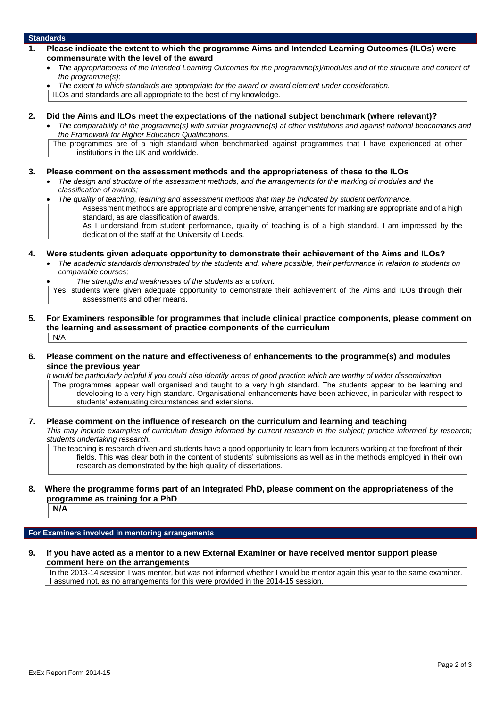#### **Standards**

- **1. Please indicate the extent to which the programme Aims and Intended Learning Outcomes (ILOs) were commensurate with the level of the award**
	- *The appropriateness of the Intended Learning Outcomes for the programme(s)/modules and of the structure and content of the programme(s);*
	- *The extent to which standards are appropriate for the award or award element under consideration.*

ILOs and standards are all appropriate to the best of my knowledge.

#### **2. Did the Aims and ILOs meet the expectations of the national subject benchmark (where relevant)?**

- *The comparability of the programme(s) with similar programme(s) at other institutions and against national benchmarks and the Framework for Higher Education Qualifications.*
- The programmes are of a high standard when benchmarked against programmes that I have experienced at other institutions in the UK and worldwide.

#### **3. Please comment on the assessment methods and the appropriateness of these to the ILOs**

- *The design and structure of the assessment methods, and the arrangements for the marking of modules and the classification of awards;*
- *The quality of teaching, learning and assessment methods that may be indicated by student performance.*
	- Assessment methods are appropriate and comprehensive, arrangements for marking are appropriate and of a high standard, as are classification of awards.

As I understand from student performance, quality of teaching is of a high standard. I am impressed by the dedication of the staff at the University of Leeds.

#### **4. Were students given adequate opportunity to demonstrate their achievement of the Aims and ILOs?**

- *The academic standards demonstrated by the students and, where possible, their performance in relation to students on comparable courses;*
	- *The strengths and weaknesses of the students as a cohort.*
- Yes, students were given adequate opportunity to demonstrate their achievement of the Aims and ILOs through their assessments and other means.
- **5. For Examiners responsible for programmes that include clinical practice components, please comment on the learning and assessment of practice components of the curriculum**  $N/A$
- **6. Please comment on the nature and effectiveness of enhancements to the programme(s) and modules since the previous year**

*It would be particularly helpful if you could also identify areas of good practice which are worthy of wider dissemination.*

The programmes appear well organised and taught to a very high standard. The students appear to be learning and developing to a very high standard. Organisational enhancements have been achieved, in particular with respect to students' extenuating circumstances and extensions.

#### **7. Please comment on the influence of research on the curriculum and learning and teaching**

*This may include examples of curriculum design informed by current research in the subject; practice informed by research; students undertaking research.*

The teaching is research driven and students have a good opportunity to learn from lecturers working at the forefront of their fields. This was clear both in the content of students' submissions as well as in the methods employed in their own research as demonstrated by the high quality of dissertations.

## **8. Where the programme forms part of an Integrated PhD, please comment on the appropriateness of the programme as training for a PhD**

**N/A**

#### **For Examiners involved in mentoring arrangements**

**9. If you have acted as a mentor to a new External Examiner or have received mentor support please comment here on the arrangements**

In the 2013-14 session I was mentor, but was not informed whether I would be mentor again this year to the same examiner. I assumed not, as no arrangements for this were provided in the 2014-15 session.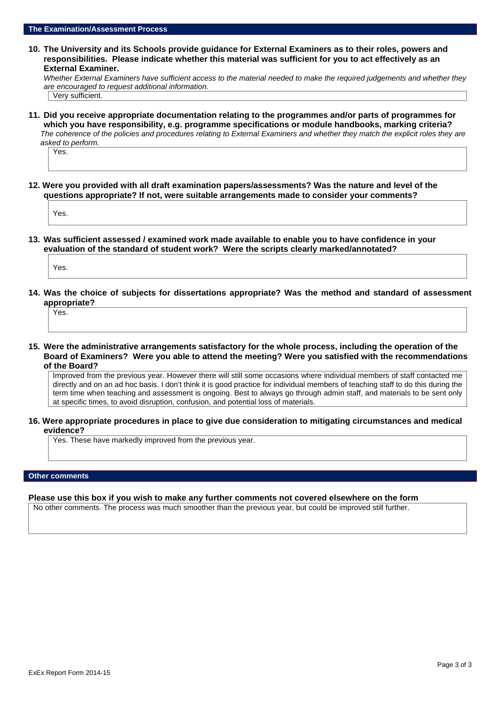**10. The University and its Schools provide guidance for External Examiners as to their roles, powers and responsibilities. Please indicate whether this material was sufficient for you to act effectively as an External Examiner.**

*Whether External Examiners have sufficient access to the material needed to make the required judgements and whether they are encouraged to request additional information.*

Very sufficient.

**11. Did you receive appropriate documentation relating to the programmes and/or parts of programmes for which you have responsibility, e.g. programme specifications or module handbooks, marking criteria?** *The coherence of the policies and procedures relating to External Examiners and whether they match the explicit roles they are asked to perform.*

Yes.

**12. Were you provided with all draft examination papers/assessments? Was the nature and level of the questions appropriate? If not, were suitable arrangements made to consider your comments?**

Yes.

**13. Was sufficient assessed / examined work made available to enable you to have confidence in your evaluation of the standard of student work? Were the scripts clearly marked/annotated?**

Yes.

**14. Was the choice of subjects for dissertations appropriate? Was the method and standard of assessment appropriate?**

Yes.

**15. Were the administrative arrangements satisfactory for the whole process, including the operation of the Board of Examiners? Were you able to attend the meeting? Were you satisfied with the recommendations of the Board?**

Improved from the previous year. However there will still some occasions where individual members of staff contacted me directly and on an ad hoc basis. I don't think it is good practice for individual members of teaching staff to do this during the term time when teaching and assessment is ongoing. Best to always go through admin staff, and materials to be sent only at specific times, to avoid disruption, confusion, and potential loss of materials.

**16. Were appropriate procedures in place to give due consideration to mitigating circumstances and medical evidence?**

Yes. These have markedly improved from the previous year.

#### **Other comments**

#### **Please use this box if you wish to make any further comments not covered elsewhere on the form**

No other comments. The process was much smoother than the previous year, but could be improved still further.